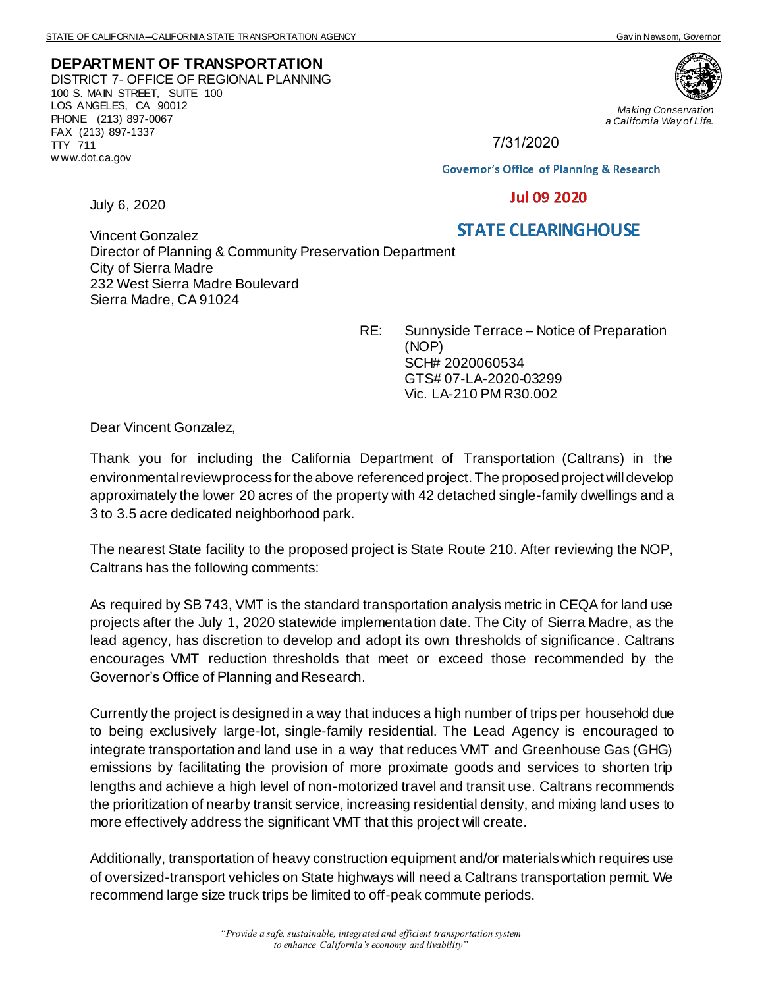## **DEPARTMENT OF TRANSPORTATION** DISTRICT 7- OFFICE OF REGIONAL PLANNING 100 S. MAIN STREET, SUITE 100 LOS ANGELES, CA 90012 PHONE (213) 897-0067 FAX (213) 897-1337 TTY 711 w ww.dot.ca.gov



*Making Conservation a California Way of Life.*

7/31/2020

**Governor's Office of Planning & Research** 

## **Jul 09 2020**

July 6, 2020

## **STATE CLEARINGHOUSE**

Vincent Gonzalez Director of Planning & Community Preservation Department City of Sierra Madre 232 West Sierra Madre Boulevard Sierra Madre, CA 91024

> RE: Sunnyside Terrace – Notice of Preparation (NOP) SCH# 2020060534 GTS# 07-LA-2020-03299 Vic. LA-210 PM R30.002

Dear Vincent Gonzalez,

Thank you for including the California Department of Transportation (Caltrans) in the environmental review process for the above referenced project. The proposed project will develop approximately the lower 20 acres of the property with 42 detached single-family dwellings and a 3 to 3.5 acre dedicated neighborhood park.

The nearest State facility to the proposed project is State Route 210. After reviewing the NOP, Caltrans has the following comments:

As required by SB 743, VMT is the standard transportation analysis metric in CEQA for land use projects after the July 1, 2020 statewide implementation date. The City of Sierra Madre, as the lead agency, has discretion to develop and adopt its own thresholds of significance. Caltrans encourages VMT reduction thresholds that meet or exceed those recommended by the Governor's Office of Planning and Research.

Currently the project is designed in a way that induces a high number of trips per household due to being exclusively large-lot, single-family residential. The Lead Agency is encouraged to integrate transportation and land use in a way that reduces VMT and Greenhouse Gas (GHG) emissions by facilitating the provision of more proximate goods and services to shorten trip lengths and achieve a high level of non-motorized travel and transit use. Caltrans recommends the prioritization of nearby transit service, increasing residential density, and mixing land uses to more effectively address the significant VMT that this project will create.

Additionally, transportation of heavy construction equipment and/or materials which requires use of oversized-transport vehicles on State highways will need a Caltrans transportation permit. We recommend large size truck trips be limited to off-peak commute periods.